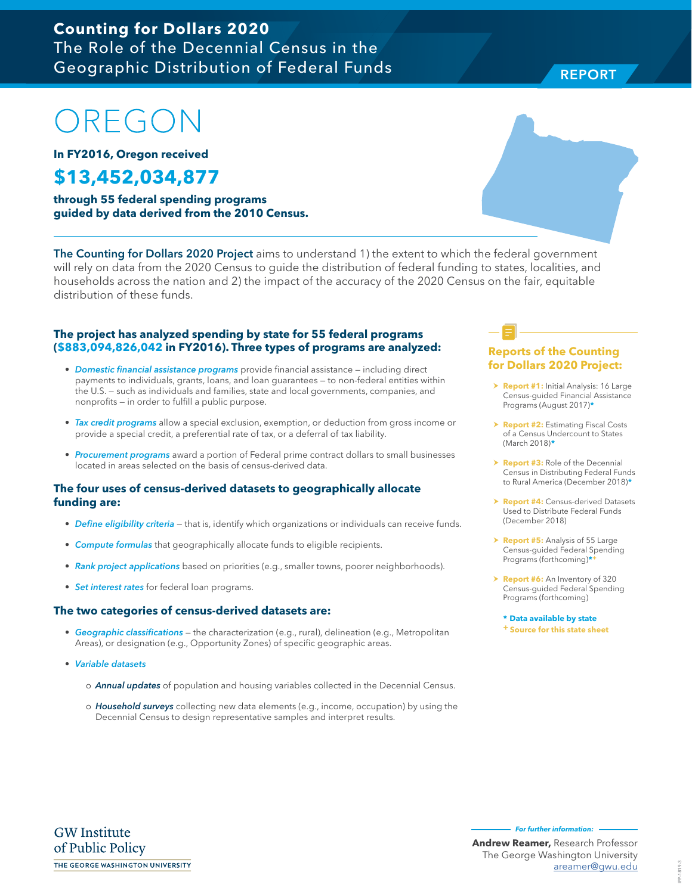### **Counting for Dollars 2020**  The Role of the Decennial Census in the Geographic Distribution of Federal Funds

# OREGON

**In FY2016, Oregon received**

## **\$13,452,034,877**

**through 55 federal spending programs guided by data derived from the 2010 Census.**

The Counting for Dollars 2020 Project aims to understand 1) the extent to which the federal government will rely on data from the 2020 Census to guide the distribution of federal funding to states, localities, and households across the nation and 2) the impact of the accuracy of the 2020 Census on the fair, equitable distribution of these funds.

#### **The project has analyzed spending by state for 55 federal programs (\$883,094,826,042 in FY2016). Three types of programs are analyzed:**

- Domestic financial assistance programs provide financial assistance including direct payments to individuals, grants, loans, and loan guarantees — to non-federal entities within the U.S. — such as individuals and families, state and local governments, companies, and nonprofits — in order to fulfill a public purpose.
- Tax credit programs allow a special exclusion, exemption, or deduction from gross income or provide a special credit, a preferential rate of tax, or a deferral of tax liability.
- Procurement programs award a portion of Federal prime contract dollars to small businesses located in areas selected on the basis of census-derived data.

#### **The four uses of census-derived datasets to geographically allocate funding are:**

- Define eligibility criteria that is, identify which organizations or individuals can receive funds.
- Compute formulas that geographically allocate funds to eligible recipients.
- Rank project applications based on priorities (e.g., smaller towns, poorer neighborhoods).
- Set interest rates for federal loan programs.

#### **The two categories of census-derived datasets are:**

- Geographic classifications the characterization (e.g., rural), delineation (e.g., Metropolitan Areas), or designation (e.g., Opportunity Zones) of specific geographic areas.
- Variable datasets
	- o **Annual updates** of population and housing variables collected in the Decennial Census.
	- o Household surveys collecting new data elements (e.g., income, occupation) by using the Decennial Census to design representative samples and interpret results.

#### **Reports of the Counting for Dollars 2020 Project:**

- **> Report #1:** Initial Analysis: 16 Large Census-guided Financial Assistance Programs (August 2017)**\***
- **h Report #2: Estimating Fiscal Costs** of a Census Undercount to States (March 2018)**\***
- **Report #3:** Role of the Decennial Census in Distributing Federal Funds to Rural America (December 2018)**\***
- **Report #4: Census-derived Datasets** Used to Distribute Federal Funds (December 2018)
- > **Report #5:** Analysis of 55 Large Census-guided Federal Spending Programs (forthcoming)**\*+**
- h **Report #6:** An Inventory of 320 Census-guided Federal Spending Programs (forthcoming)

**\* Data available by state + Source for this state sheet**

**Andrew Reamer,** Research Professor The George Washington University

**For further information:** 

areamer@gwu.edu



#### **REPORT** REPORT